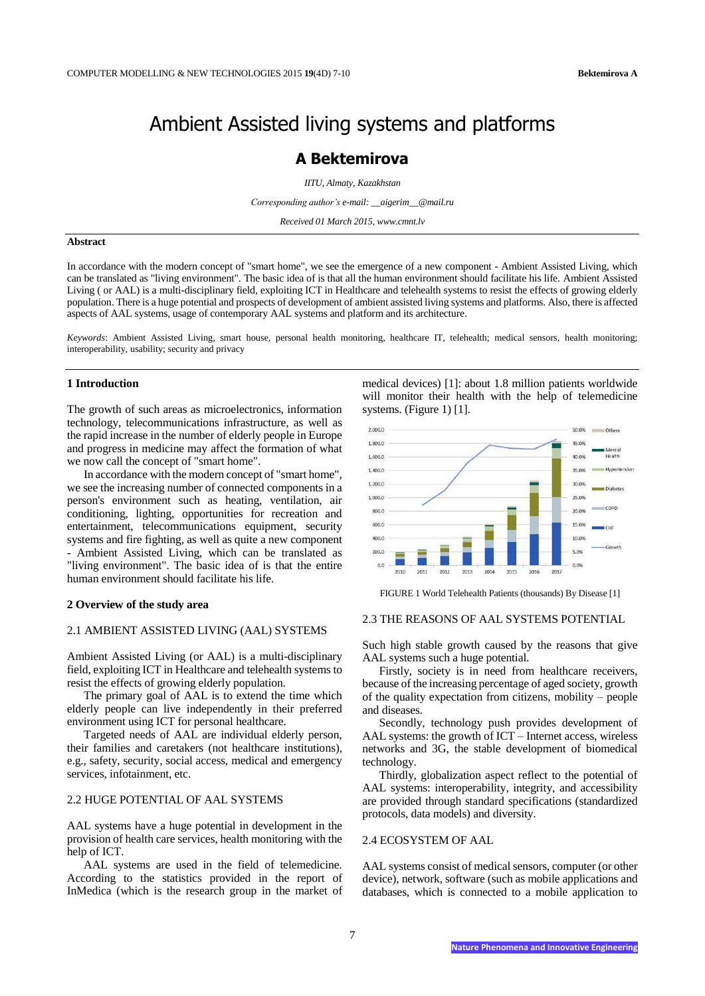## Ambient Assisted living systems and platforms

### **A Bektemirova**

*IITU, Almaty, Kazakhstan*

*Corresponding author's e-mail: \_\_aigerim\_\_@mail.ru*

*Received 01 March 2015, www.cmnt.lv*

#### **Abstract**

In accordance with the modern concept of "smart home", we see the emergence of a new component - Ambient Assisted Living, which can be translated as "living environment". The basic idea of is that all the human environment should facilitate his life. Ambient Assisted Living ( or AAL) is a multi-disciplinary field, exploiting ICT in Healthcare and telehealth systems to resist the effects of growing elderly population. There is a huge potential and prospects of development of ambient assisted living systems and platforms. Also, there is affected aspects of AAL systems, usage of contemporary AAL systems and platform and its architecture.

*Keywords*: Ambient Assisted Living, smart house, personal health monitoring, healthcare IT, telehealth; medical sensors, health monitoring; interoperability, usability; security and privacy

#### **1 Introduction**

The growth of such areas as microelectronics, information technology, telecommunications infrastructure, as well as the rapid increase in the number of elderly people in Europe and progress in medicine may affect the formation of what we now call the concept of "smart home".

In accordance with the modern concept of "smart home", we see the increasing number of connected components in a person's environment such as heating, ventilation, air conditioning, lighting, opportunities for recreation and entertainment, telecommunications equipment, security systems and fire fighting, as well as quite a new component - Ambient Assisted Living, which can be translated as "living environment". The basic idea of is that the entire human environment should facilitate his life.

#### **2 Overview of the study area**

#### 2.1 AMBIENT ASSISTED LIVING (AAL) SYSTEMS

Ambient Assisted Living (or AAL) is a multi-disciplinary field, exploiting ICT in Healthcare and telehealth systems to resist the effects of growing elderly population.

The primary goal of AAL is to extend the time which elderly people can live independently in their preferred environment using ICT for personal healthcare.

Targeted needs of AAL are individual elderly person, their families and caretakers (not healthcare institutions), e.g., safety, security, social access, medical and emergency services, infotainment, etc.

#### 2.2 HUGE POTENTIAL OF AAL SYSTEMS

AAL systems have a huge potential in development in the provision of health care services, health monitoring with the help of ICT.

AAL systems are used in the field of telemedicine. According to the statistics provided in the report of InMedica (which is the research group in the market of medical devices) [1]: about 1.8 million patients worldwide will monitor their health with the help of telemedicine systems. (Figure 1) [1].



FIGURE 1 World Telehealth Patients (thousands) By Disease [1]

#### 2.3 THE REASONS OF AAL SYSTEMS POTENTIAL

Such high stable growth caused by the reasons that give AAL systems such a huge potential.

Firstly, society is in need from healthcare receivers, because of the increasing percentage of aged society, growth of the quality expectation from citizens, mobility – people and diseases.

Secondly, technology push provides development of AAL systems: the growth of ICT – Internet access, wireless networks and 3G, the stable development of biomedical technology.

Thirdly, globalization aspect reflect to the potential of AAL systems: interoperability, integrity, and accessibility are provided through standard specifications (standardized protocols, data models) and diversity.

#### 2.4 ECOSYSTEM OF AAL

AAL systems consist of medical sensors, computer (or other device), network, software (such as mobile applications and databases, which is connected to a mobile application to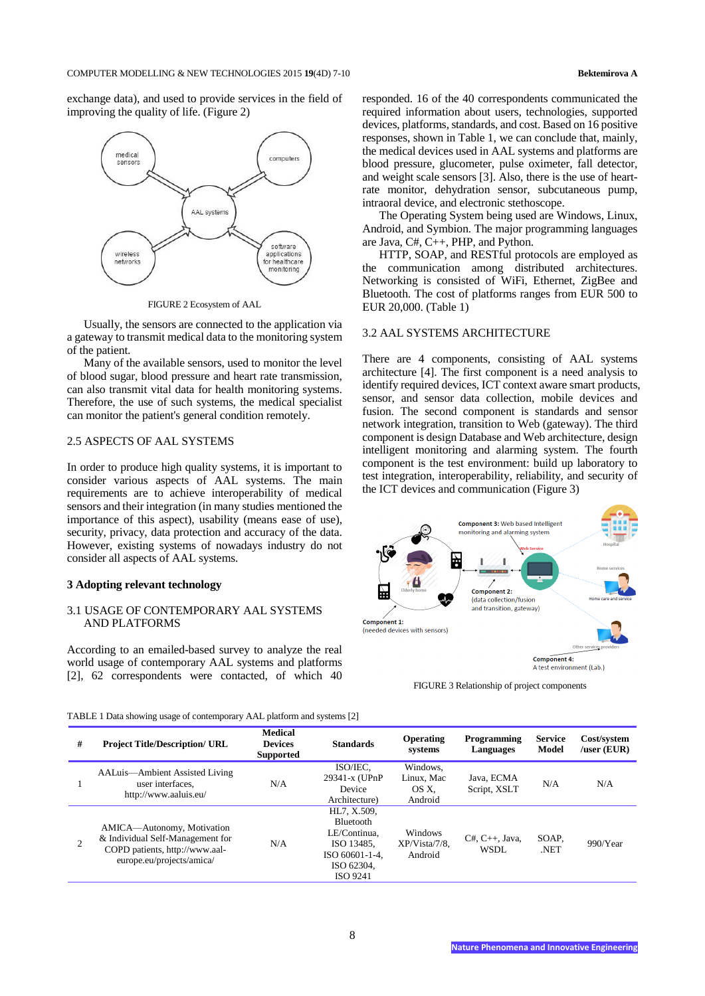exchange data), and used to provide services in the field of improving the quality of life. (Figure 2)



FIGURE 2 Ecosystem of AAL

Usually, the sensors are connected to the application via a gateway to transmit medical data to the monitoring system of the patient.

Many of the available sensors, used to monitor the level of blood sugar, blood pressure and heart rate transmission, can also transmit vital data for health monitoring systems. Therefore, the use of such systems, the medical specialist can monitor the patient's general condition remotely.

#### 2.5 ASPECTS OF AAL SYSTEMS

In order to produce high quality systems, it is important to consider various aspects of AAL systems. The main requirements are to achieve interoperability of medical sensors and their integration (in many studies mentioned the importance of this aspect), usability (means ease of use), security, privacy, data protection and accuracy of the data. However, existing systems of nowadays industry do not consider all aspects of AAL systems.

#### **3 Adopting relevant technology**

#### 3.1 USAGE OF CONTEMPORARY AAL SYSTEMS AND PLATFORMS

According to an emailed-based survey to analyze the real world usage of contemporary AAL systems and platforms [2], 62 correspondents were contacted, of which 40

responded. 16 of the 40 correspondents communicated the required information about users, technologies, supported devices, platforms, standards, and cost. Based on 16 positive responses, shown in Table 1, we can conclude that, mainly, the medical devices used in AAL systems and platforms are blood pressure, glucometer, pulse oximeter, fall detector, and weight scale sensors [3]. Also, there is the use of heartrate monitor, dehydration sensor, subcutaneous pump, intraoral device, and electronic stethoscope.

The Operating System being used are Windows, Linux, Android, and Symbion. The major programming languages are Java, C#, C++, PHP, and Python.

HTTP, SOAP, and RESTful protocols are employed as the communication among distributed architectures. Networking is consisted of WiFi, Ethernet, ZigBee and Bluetooth. The cost of platforms ranges from EUR 500 to EUR 20,000. (Table 1)

#### 3.2 AAL SYSTEMS ARCHITECTURE

There are 4 components, consisting of AAL systems architecture [4]. The first component is a need analysis to identify required devices, ICT context aware smart products, sensor, and sensor data collection, mobile devices and fusion. The second component is standards and sensor network integration, transition to Web (gateway). The third component is design Database and Web architecture, design intelligent monitoring and alarming system. The fourth component is the test environment: build up laboratory to test integration, interoperability, reliability, and security of the ICT devices and communication (Figure 3)



FIGURE 3 Relationship of project components

TABLE 1 Data showing usage of contemporary AAL platform and systems [2]

| # | <b>Project Title/Description/ URL</b>                                                                                         | <b>Medical</b><br><b>Devices</b><br><b>Supported</b> | <b>Standards</b>                                                                                                 | <b>Operating</b><br>systems                | Programming<br>Languages   | <b>Service</b><br>Model | Cost/system<br>luser (EUR) |
|---|-------------------------------------------------------------------------------------------------------------------------------|------------------------------------------------------|------------------------------------------------------------------------------------------------------------------|--------------------------------------------|----------------------------|-------------------------|----------------------------|
|   | AALuis—Ambient Assisted Living<br>user interfaces.<br>http://www.aaluis.eu/                                                   | N/A                                                  | ISO/IEC.<br>29341-x (UPnP)<br>Device<br>Architecture)                                                            | Windows.<br>Linux. Mac<br>OS X.<br>Android | Java, ECMA<br>Script, XSLT | N/A                     | N/A                        |
| 2 | AMICA—Autonomy, Motivation<br>& Individual Self-Management for<br>COPD patients, http://www.aal-<br>europe.eu/projects/amica/ | N/A                                                  | HL7, X.509.<br><b>Bluetooth</b><br>LE/Continua.<br>ISO 13485.<br>ISO 60601-1-4.<br>ISO 62304.<br><b>ISO 9241</b> | Windows<br>$XP/Vista/7/8$ .<br>Android     | $C#, C++, Java,$<br>WSDL   | SOAP.<br>.NET           | 990/Year                   |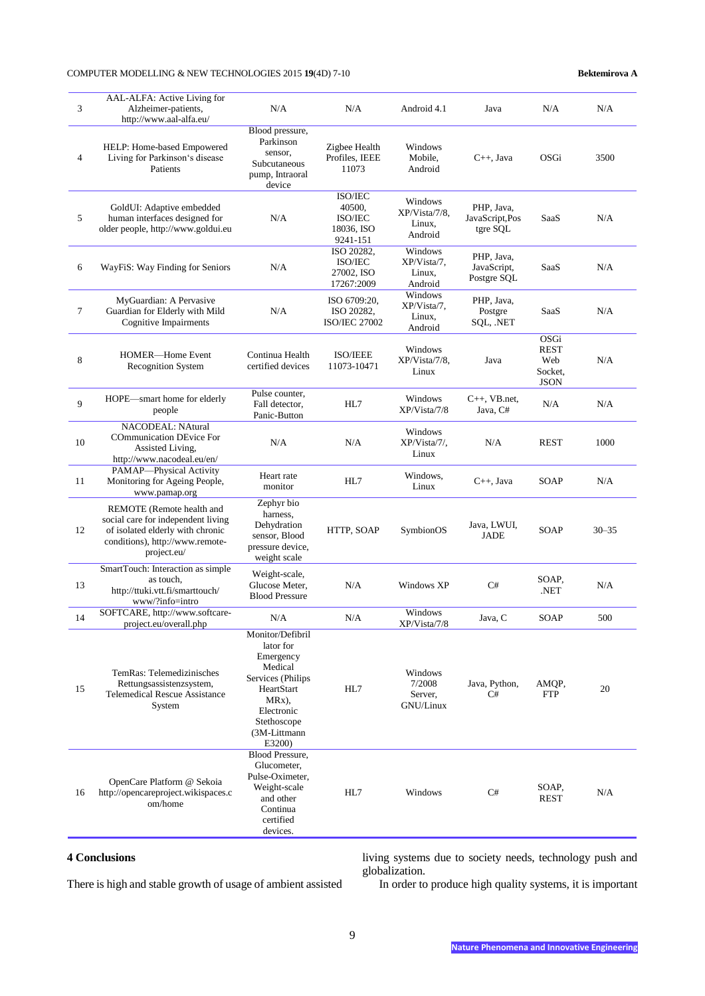#### COMPUTER MODELLING & NEW TECHNOLOGIES 2015 **19**(4D) 7-10 **Bektemirova A**

| 3      | AAL-ALFA: Active Living for<br>Alzheimer-patients,<br>http://www.aal-alfa.eu/                                                                         | N/A                                                                                                                                                      | N/A                                                    | Android 4.1                                   | Java                                     | N/A                                                  | N/A       |
|--------|-------------------------------------------------------------------------------------------------------------------------------------------------------|----------------------------------------------------------------------------------------------------------------------------------------------------------|--------------------------------------------------------|-----------------------------------------------|------------------------------------------|------------------------------------------------------|-----------|
| 4      | HELP: Home-based Empowered<br>Living for Parkinson's disease<br>Patients                                                                              | Blood pressure,<br>Parkinson<br>sensor,<br>Subcutaneous<br>pump, Intraoral<br>device                                                                     | Zigbee Health<br>Profiles, IEEE<br>11073               | Windows<br>Mobile.<br>Android                 | $C_{++}$ , Java                          | OSGi                                                 | 3500      |
| 5      | GoldUI: Adaptive embedded<br>human interfaces designed for<br>older people, http://www.goldui.eu                                                      | N/A                                                                                                                                                      | ISO/IEC<br>40500,<br>ISO/IEC<br>18036, ISO<br>9241-151 | Windows<br>XP/Vista/7/8.<br>Linux,<br>Android | PHP, Java,<br>JavaScript,Pos<br>tgre SQL | SaaS                                                 | N/A       |
| 6      | WayFiS: Way Finding for Seniors                                                                                                                       | N/A                                                                                                                                                      | ISO 20282,<br>ISO/IEC<br>27002, ISO<br>17267:2009      | Windows<br>XP/Vista/7,<br>Linux,<br>Android   | PHP, Java,<br>JavaScript,<br>Postgre SQL | SaaS                                                 | N/A       |
| $\tau$ | MyGuardian: A Pervasive<br>Guardian for Elderly with Mild<br>Cognitive Impairments                                                                    | N/A                                                                                                                                                      | ISO 6709:20,<br>ISO 20282,<br><b>ISO/IEC 27002</b>     | Windows<br>XP/Vista/7,<br>Linux,<br>Android   | PHP, Java,<br>Postgre<br>SQL, .NET       | SaaS                                                 | N/A       |
| 8      | HOMER-Home Event<br><b>Recognition System</b>                                                                                                         | Continua Health<br>certified devices                                                                                                                     | ISO/IEEE<br>11073-10471                                | Windows<br>XP/Vista/7/8,<br>Linux             | Java                                     | OSGi<br><b>REST</b><br>Web<br>Socket,<br><b>JSON</b> | N/A       |
| 9      | HOPE-smart home for elderly<br>people                                                                                                                 | Pulse counter,<br>Fall detector,<br>Panic-Button                                                                                                         | HL7                                                    | Windows<br>XP/Vista/7/8                       | $C_{++}$ , VB.net,<br>Java, C#           | N/A                                                  | N/A       |
| 10     | <b>NACODEAL: NAtural</b><br>COmmunication DEvice For<br>Assisted Living,<br>http://www.nacodeal.eu/en/                                                | N/A                                                                                                                                                      | N/A                                                    | Windows<br>XP/Vista/7/,<br>Linux              | N/A                                      | <b>REST</b>                                          | 1000      |
| 11     | PAMAP-Physical Activity<br>Monitoring for Ageing People,<br>www.pamap.org                                                                             | Heart rate<br>monitor                                                                                                                                    | HL7                                                    | Windows,<br>Linux                             | $C_{++}$ , Java                          | SOAP                                                 | N/A       |
| 12     | REMOTE (Remote health and<br>social care for independent living<br>of isolated elderly with chronic<br>conditions), http://www.remote-<br>project.eu/ | Zephyr bio<br>harness.<br>Dehydration<br>sensor, Blood<br>pressure device,<br>weight scale                                                               | HTTP, SOAP                                             | SymbionOS                                     | Java, LWUI,<br>JADE                      | SOAP                                                 | $30 - 35$ |
| 13     | SmartTouch: Interaction as simple<br>as touch,<br>http://ttuki.vtt.fi/smarttouch/<br>www/?info=intro                                                  | Weight-scale,<br>Glucose Meter.<br><b>Blood Pressure</b>                                                                                                 | N/A                                                    | Windows XP                                    | C#                                       | SOAP,<br>NET.                                        | N/A       |
| 14     | SOFTCARE, http://www.softcare-<br>project.eu/overall.php                                                                                              | N/A                                                                                                                                                      | N/A                                                    | Windows<br>XP/Vista/7/8                       | Java, C                                  | <b>SOAP</b>                                          | 500       |
| 15     | TemRas: Telemedizinisches<br>Rettungsassistenzsystem,<br><b>Telemedical Rescue Assistance</b><br>System                                               | Monitor/Defibril<br>lator for<br>Emergency<br>Medical<br>Services (Philips<br>HeartStart<br>MRx),<br>Electronic<br>Stethoscope<br>(3M-Littmann<br>E3200) | HL7                                                    | Windows<br>7/2008<br>Server,<br>GNU/Linux     | Java, Python,<br>C#                      | AMOP.<br><b>FTP</b>                                  | 20        |
| 16     | OpenCare Platform @ Sekoia<br>http://opencareproject.wikispaces.c<br>om/home                                                                          | <b>Blood Pressure,</b><br>Glucometer,<br>Pulse-Oximeter,<br>Weight-scale<br>and other<br>Continua<br>certified<br>devices.                               | HL7                                                    | Windows                                       | C#                                       | SOAP,<br><b>REST</b>                                 | N/A       |

#### **4 Conclusions**

There is high and stable growth of usage of ambient assisted

living systems due to society needs, technology push and globalization.

In order to produce high quality systems, it is important